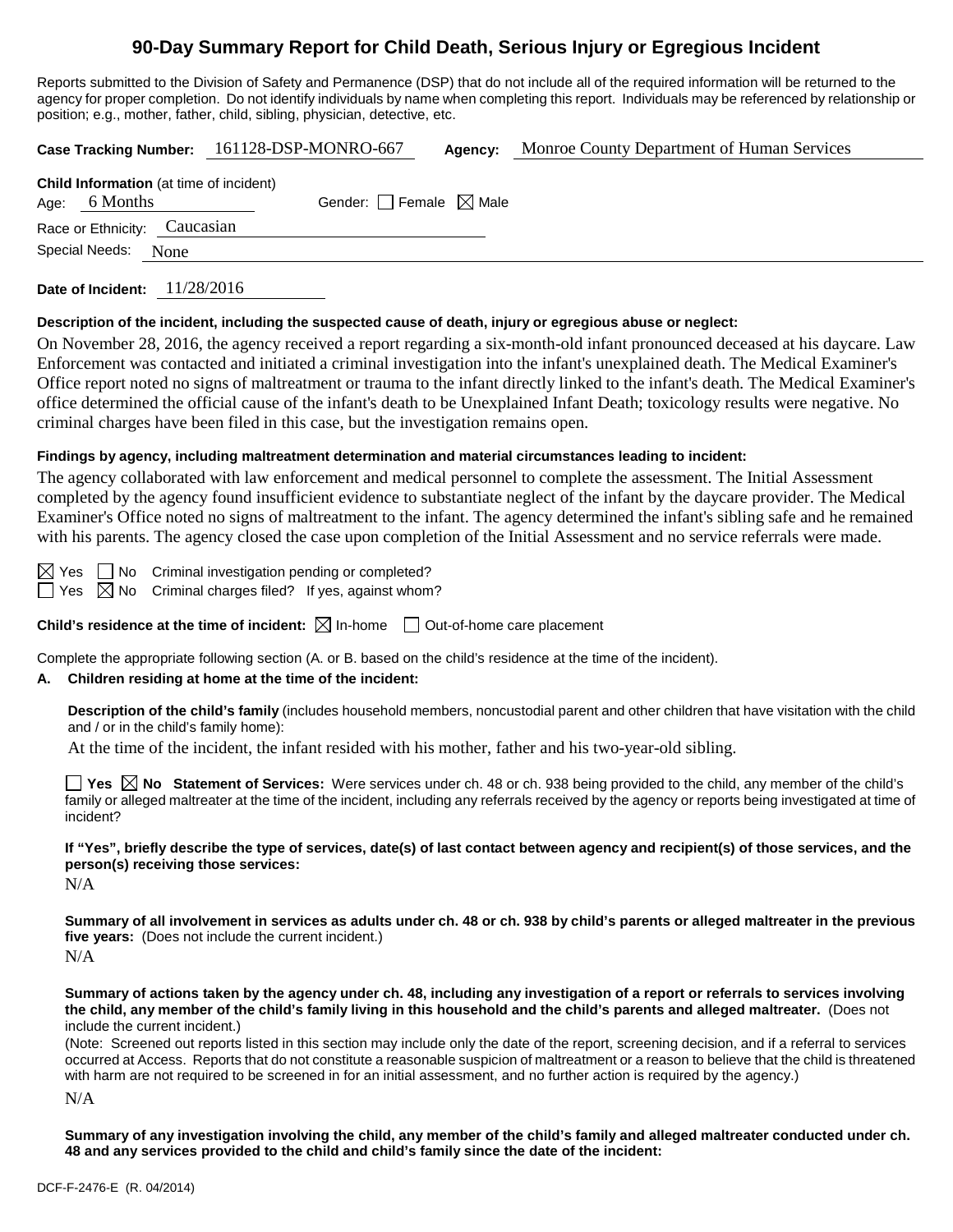# **90-Day Summary Report for Child Death, Serious Injury or Egregious Incident**

Reports submitted to the Division of Safety and Permanence (DSP) that do not include all of the required information will be returned to the agency for proper completion. Do not identify individuals by name when completing this report. Individuals may be referenced by relationship or position; e.g., mother, father, child, sibling, physician, detective, etc.

|                                                                   | Case Tracking Number: 161128-DSP-MONRO-667 | Agency: | Monroe County Department of Human Services |
|-------------------------------------------------------------------|--------------------------------------------|---------|--------------------------------------------|
| <b>Child Information</b> (at time of incident)<br>Age: $6$ Months | Gender: Female $\boxtimes$ Male            |         |                                            |
| Race or Ethnicity: Caucasian                                      |                                            |         |                                            |
| Special Needs: None                                               |                                            |         |                                            |
| 11/28/2016<br>Date of Incident:                                   |                                            |         |                                            |

#### **Description of the incident, including the suspected cause of death, injury or egregious abuse or neglect:**

On November 28, 2016, the agency received a report regarding a six-month-old infant pronounced deceased at his daycare. Law Enforcement was contacted and initiated a criminal investigation into the infant's unexplained death. The Medical Examiner's Office report noted no signs of maltreatment or trauma to the infant directly linked to the infant's death. The Medical Examiner's office determined the official cause of the infant's death to be Unexplained Infant Death; toxicology results were negative. No criminal charges have been filed in this case, but the investigation remains open.

#### **Findings by agency, including maltreatment determination and material circumstances leading to incident:**

The agency collaborated with law enforcement and medical personnel to complete the assessment. The Initial Assessment completed by the agency found insufficient evidence to substantiate neglect of the infant by the daycare provider. The Medical Examiner's Office noted no signs of maltreatment to the infant. The agency determined the infant's sibling safe and he remained with his parents. The agency closed the case upon completion of the Initial Assessment and no service referrals were made.

 $\boxtimes$  Yes  $\Box$  No Criminal investigation pending or completed?

 $\Box$  Yes  $\boxtimes$  No Criminal charges filed? If yes, against whom?

**Child's residence at the time of incident:**  $\boxtimes$  In-home  $\Box$  Out-of-home care placement

Complete the appropriate following section (A. or B. based on the child's residence at the time of the incident).

## **A. Children residing at home at the time of the incident:**

**Description of the child's family** (includes household members, noncustodial parent and other children that have visitation with the child and / or in the child's family home):

At the time of the incident, the infant resided with his mother, father and his two-year-old sibling.

**Yes No** Statement of Services: Were services under ch. 48 or ch. 938 being provided to the child, any member of the child's family or alleged maltreater at the time of the incident, including any referrals received by the agency or reports being investigated at time of incident?

**If "Yes", briefly describe the type of services, date(s) of last contact between agency and recipient(s) of those services, and the person(s) receiving those services:**

N/A

**Summary of all involvement in services as adults under ch. 48 or ch. 938 by child's parents or alleged maltreater in the previous five years:** (Does not include the current incident.) N/A

**Summary of actions taken by the agency under ch. 48, including any investigation of a report or referrals to services involving the child, any member of the child's family living in this household and the child's parents and alleged maltreater.** (Does not include the current incident.)

(Note: Screened out reports listed in this section may include only the date of the report, screening decision, and if a referral to services occurred at Access. Reports that do not constitute a reasonable suspicion of maltreatment or a reason to believe that the child is threatened with harm are not required to be screened in for an initial assessment, and no further action is required by the agency.)

N/A

**Summary of any investigation involving the child, any member of the child's family and alleged maltreater conducted under ch. 48 and any services provided to the child and child's family since the date of the incident:**